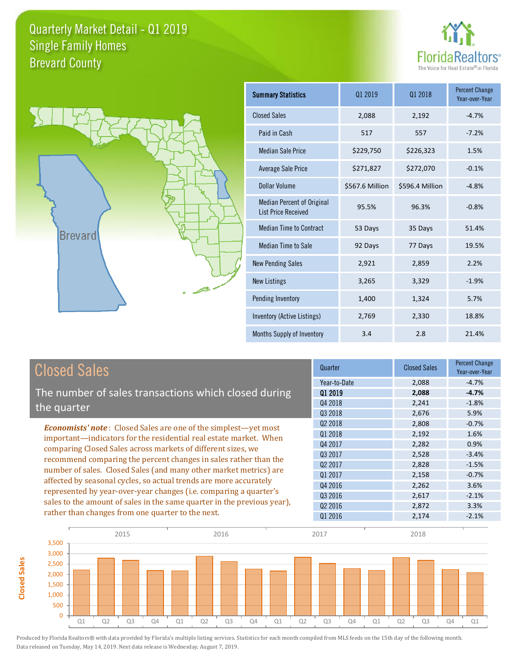



**Closed Sales**

**Closed Sales** 

| <b>Summary Statistics</b>                                       | Q1 2019         | 01 2018         | <b>Percent Change</b><br>Year-over-Year |
|-----------------------------------------------------------------|-----------------|-----------------|-----------------------------------------|
| <b>Closed Sales</b>                                             | 2,088           | 2,192           | $-4.7%$                                 |
| Paid in Cash                                                    | 517             | 557             | $-7.2%$                                 |
| <b>Median Sale Price</b>                                        | \$229,750       | \$226,323       | 1.5%                                    |
| <b>Average Sale Price</b>                                       | \$271,827       | \$272,070       | $-0.1%$                                 |
| Dollar Volume                                                   | \$567.6 Million | \$596.4 Million | $-4.8%$                                 |
| <b>Median Percent of Original</b><br><b>List Price Received</b> | 95.5%           | 96.3%           | $-0.8%$                                 |
| <b>Median Time to Contract</b>                                  | 53 Days         | 35 Days         | 51.4%                                   |
| Median Time to Sale                                             | 92 Days         | 77 Days         | 19.5%                                   |
| <b>New Pending Sales</b>                                        | 2,921           | 2,859           | 2.2%                                    |
| <b>New Listings</b>                                             | 3,265           | 3,329           | $-1.9%$                                 |
| Pending Inventory                                               | 1,400           | 1,324           | 5.7%                                    |
| Inventory (Active Listings)                                     | 2,769           | 2,330           | 18.8%                                   |
| Months Supply of Inventory                                      | 3.4             | 2.8             | 21.4%                                   |

| <b>Closed Sales</b>                                                                                                                                                                                        | Quarter             | <b>Closed Sales</b> | <b>Percent Change</b><br>Year-over-Year |
|------------------------------------------------------------------------------------------------------------------------------------------------------------------------------------------------------------|---------------------|---------------------|-----------------------------------------|
|                                                                                                                                                                                                            | Year-to-Date        | 2,088               | $-4.7%$                                 |
| The number of sales transactions which closed during                                                                                                                                                       | 01 2019             | 2,088               | $-4.7%$                                 |
| the quarter                                                                                                                                                                                                | Q4 2018             | 2,241               | $-1.8%$                                 |
|                                                                                                                                                                                                            | Q3 2018             | 2,676               | 5.9%                                    |
| <b>Economists' note:</b> Closed Sales are one of the simplest—yet most                                                                                                                                     | Q <sub>2</sub> 2018 | 2,808               | $-0.7%$                                 |
| important—indicators for the residential real estate market. When                                                                                                                                          | Q1 2018             | 2,192               | 1.6%                                    |
| comparing Closed Sales across markets of different sizes, we                                                                                                                                               | Q4 2017             | 2,282               | 0.9%                                    |
| recommend comparing the percent changes in sales rather than the<br>number of sales. Closed Sales (and many other market metrics) are<br>affected by seasonal cycles, so actual trends are more accurately | 03 2017             | 2,528               | $-3.4%$                                 |
|                                                                                                                                                                                                            | Q <sub>2</sub> 2017 | 2,828               | $-1.5%$                                 |
|                                                                                                                                                                                                            | Q1 2017             | 2,158               | $-0.7%$                                 |
|                                                                                                                                                                                                            | 04 2016             | 2,262               | 3.6%                                    |
| represented by year-over-year changes (i.e. comparing a quarter's                                                                                                                                          | Q3 2016             | 2,617               | $-2.1%$                                 |
| sales to the amount of sales in the same quarter in the previous year),                                                                                                                                    | Q <sub>2</sub> 2016 | 2,872               | 3.3%                                    |
| rather than changes from one quarter to the next.                                                                                                                                                          | Q1 2016             | 2,174               | $-2.1%$                                 |

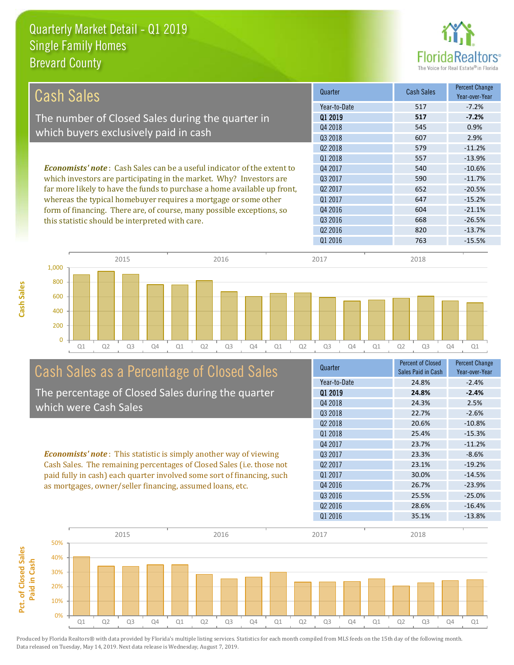

| <b>Cash Sales</b>                                                              | Quarter             | <b>Cash Sales</b> | <b>Percent Change</b><br>Year-over-Year |
|--------------------------------------------------------------------------------|---------------------|-------------------|-----------------------------------------|
|                                                                                | Year-to-Date        | 517               | $-7.2%$                                 |
| The number of Closed Sales during the quarter in                               | 01 2019             | 517               | $-7.2%$                                 |
| which buyers exclusively paid in cash                                          | Q4 2018             | 545               | 0.9%                                    |
|                                                                                | Q3 2018             | 607               | 2.9%                                    |
|                                                                                | Q <sub>2</sub> 2018 | 579               | $-11.2%$                                |
|                                                                                | 01 2018             | 557               | $-13.9%$                                |
| <b>Economists' note:</b> Cash Sales can be a useful indicator of the extent to | Q4 2017             | 540               | $-10.6%$                                |
| which investors are participating in the market. Why? Investors are            | 03 2017             | 590               | $-11.7%$                                |
| far more likely to have the funds to purchase a home available up front,       | Q <sub>2</sub> 2017 | 652               | $-20.5%$                                |
| whereas the typical homebuyer requires a mortgage or some other                | Q1 2017             | 647               | $-15.2%$                                |
| form of financing. There are, of course, many possible exceptions, so          | Q4 2016             | 604               | $-21.1%$                                |
| this statistic should be interpreted with care.                                | Q3 2016             | 668               | $-26.5%$                                |
|                                                                                | Q <sub>2</sub> 2016 | 820               | $-13.7%$                                |
|                                                                                | Q1 2016             | 763               | $-15.5%$                                |
| 2015<br>2016<br>1,000                                                          | 2017                | 2018              |                                         |



# Cash Sales as a Percentage of Closed Sales

The percentage of Closed Sales during the quarter which were Cash Sales

*Economists' note* : This statistic is simply another way of viewing Cash Sales. The remaining percentages of Closed Sales (i.e. those not paid fully in cash) each quarter involved some sort of financing, such as mortgages, owner/seller financing, assumed loans, etc.



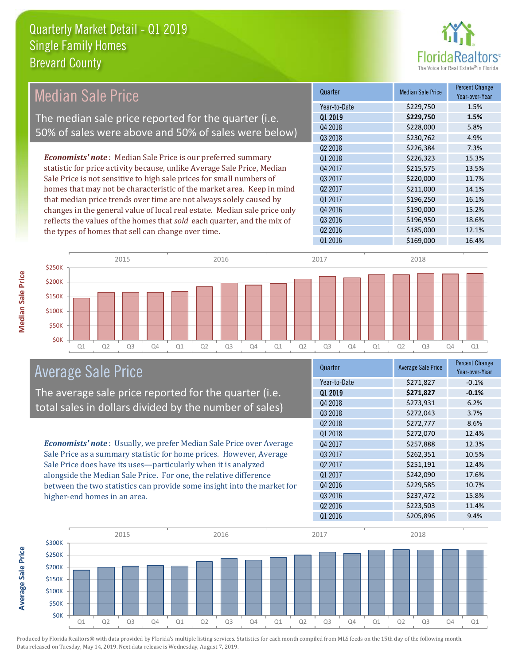

## *Economists' note* : Median Sale Price is our preferred summary Median Sale Price The median sale price reported for the quarter (i.e. 50% of sales were above and 50% of sales were below)

statistic for price activity because, unlike Average Sale Price, Median Sale Price is not sensitive to high sale prices for small numbers of homes that may not be characteristic of the market area. Keep in mind that median price trends over time are not always solely caused by changes in the general value of local real estate. Median sale price only reflects the values of the homes that *sold* each quarter, and the mix of the types of homes that sell can change over time.

| Quarter             | <b>Median Sale Price</b> | <b>Percent Change</b><br>Year-over-Year |
|---------------------|--------------------------|-----------------------------------------|
| Year-to-Date        | \$229,750                | 1.5%                                    |
| Q1 2019             | \$229,750                | 1.5%                                    |
| Q4 2018             | \$228,000                | 5.8%                                    |
| Q3 2018             | \$230,762                | 4.9%                                    |
| Q <sub>2</sub> 2018 | \$226,384                | 7.3%                                    |
| Q1 2018             | \$226,323                | 15.3%                                   |
| Q4 2017             | \$215,575                | 13.5%                                   |
| 03 2017             | \$220,000                | 11.7%                                   |
| 02 2017             | \$211,000                | 14.1%                                   |
| Q1 2017             | \$196,250                | 16.1%                                   |
| Q4 2016             | \$190,000                | 15.2%                                   |
| Q3 2016             | \$196,950                | 18.6%                                   |
| Q <sub>2</sub> 2016 | \$185,000                | 12.1%                                   |
| Q1 2016             | \$169,000                | 16.4%                                   |



### Average Sale Price

The average sale price reported for the quarter (i.e. total sales in dollars divided by the number of sales)

*Economists' note* : Usually, we prefer Median Sale Price over Average Sale Price as a summary statistic for home prices. However, Average Sale Price does have its uses—particularly when it is analyzed alongside the Median Sale Price. For one, the relative difference between the two statistics can provide some insight into the market for higher-end homes in an area.

| Quarter             | <b>Average Sale Price</b> | <b>Percent Change</b><br>Year-over-Year |
|---------------------|---------------------------|-----------------------------------------|
| Year-to-Date        | \$271,827                 | $-0.1%$                                 |
| 01 2019             | \$271,827                 | $-0.1%$                                 |
| Q4 2018             | \$273,931                 | 6.2%                                    |
| Q3 2018             | \$272,043                 | 3.7%                                    |
| Q <sub>2</sub> 2018 | \$272,777                 | 8.6%                                    |
| 01 2018             | \$272,070                 | 12.4%                                   |
| Q4 2017             | \$257,888                 | 12.3%                                   |
| Q3 2017             | \$262,351                 | 10.5%                                   |
| 02 2017             | \$251,191                 | 12.4%                                   |
| Q1 2017             | \$242,090                 | 17.6%                                   |
| Q4 2016             | \$229,585                 | 10.7%                                   |
| Q3 2016             | \$237,472                 | 15.8%                                   |
| Q <sub>2</sub> 2016 | \$223,503                 | 11.4%                                   |
| Q1 2016             | \$205,896                 | 9.4%                                    |



Produced by Florida Realtors® with data provided by Florida's multiple listing services. Statistics for each month compiled from MLS feeds on the 15th day of the following month. Data released on Tuesday, May 14, 2019. Next data release is Wednesday, August 7, 2019.

**Average Sale Price**

**Average Sale Price**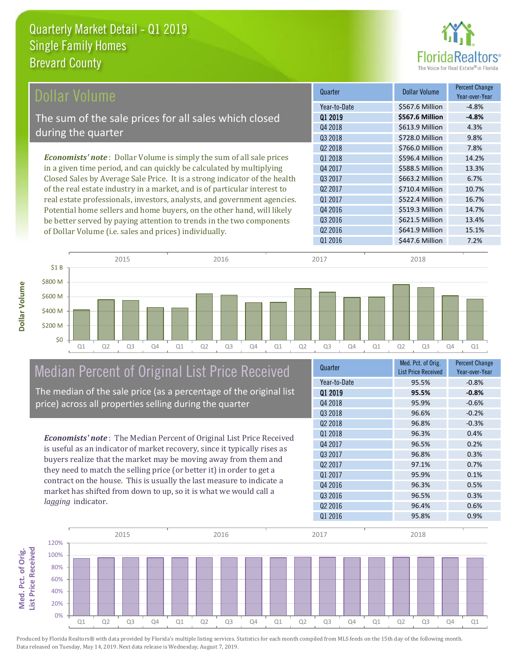

| Dollar Volume                                                               | Quarter             | <b>Dollar Volume</b> | <b>Percent Change</b><br>Year-over-Year |
|-----------------------------------------------------------------------------|---------------------|----------------------|-----------------------------------------|
|                                                                             | Year-to-Date        | \$567.6 Million      | $-4.8%$                                 |
| The sum of the sale prices for all sales which closed                       | 01 2019             | \$567.6 Million      | $-4.8%$                                 |
|                                                                             | Q4 2018             | \$613.9 Million      | 4.3%                                    |
| during the quarter                                                          | Q3 2018             | \$728.0 Million      | 9.8%                                    |
|                                                                             | Q <sub>2</sub> 2018 | \$766.0 Million      | 7.8%                                    |
| <b>Economists' note:</b> Dollar Volume is simply the sum of all sale prices | Q1 2018             | \$596.4 Million      | 14.2%                                   |
| in a given time period, and can quickly be calculated by multiplying        | Q4 2017             | \$588.5 Million      | 13.3%                                   |
| Closed Sales by Average Sale Price. It is a strong indicator of the health  | Q3 2017             | \$663.2 Million      | 6.7%                                    |
| of the real estate industry in a market, and is of particular interest to   | Q <sub>2</sub> 2017 | \$710.4 Million      | 10.7%                                   |
| real estate professionals, investors, analysts, and government agencies.    | Q1 2017             | \$522.4 Million      | 16.7%                                   |
| Potential home sellers and home buyers, on the other hand, will likely      | Q4 2016             | \$519.3 Million      | 14.7%                                   |
| be better served by paying attention to trends in the two components        | Q3 2016             | \$621.5 Million      | 13.4%                                   |
| of Dollar Volume (i.e. sales and prices) individually.                      | Q <sub>2</sub> 2016 | \$641.9 Million      | 15.1%                                   |
|                                                                             | Q1 2016             | \$447.6 Million      | 7.2%                                    |
|                                                                             |                     |                      |                                         |
| 2016<br>2015                                                                | 2017                | 2018                 |                                         |



# Median Percent of Original List Price Received

The median of the sale price (as a percentage of the original list price) across all properties selling during the quarter

*Economists' note* : The Median Percent of Original List Price Received is useful as an indicator of market recovery, since it typically rises as buyers realize that the market may be moving away from them and they need to match the selling price (or better it) in order to get a contract on the house. This is usually the last measure to indicate a market has shifted from down to up, so it is what we would call a *lagging* indicator.

| Quarter             | Med. Pct. of Orig.<br><b>List Price Received</b> | <b>Percent Change</b><br>Year-over-Year |
|---------------------|--------------------------------------------------|-----------------------------------------|
| Year-to-Date        | 95.5%                                            | $-0.8%$                                 |
| 01 2019             | 95.5%                                            | $-0.8%$                                 |
| 04 2018             | 95.9%                                            | $-0.6%$                                 |
| Q3 2018             | 96.6%                                            | $-0.2%$                                 |
| 02 2018             | 96.8%                                            | $-0.3%$                                 |
| 01 2018             | 96.3%                                            | 0.4%                                    |
| Q4 2017             | 96.5%                                            | 0.2%                                    |
| Q3 2017             | 96.8%                                            | 0.3%                                    |
| Q <sub>2</sub> 2017 | 97.1%                                            | 0.7%                                    |
| 01 2017             | 95.9%                                            | 0.1%                                    |
| Q4 2016             | 96.3%                                            | 0.5%                                    |
| Q3 2016             | 96.5%                                            | 0.3%                                    |
| Q <sub>2</sub> 2016 | 96.4%                                            | 0.6%                                    |
| Q1 2016             | 95.8%                                            | 0.9%                                    |

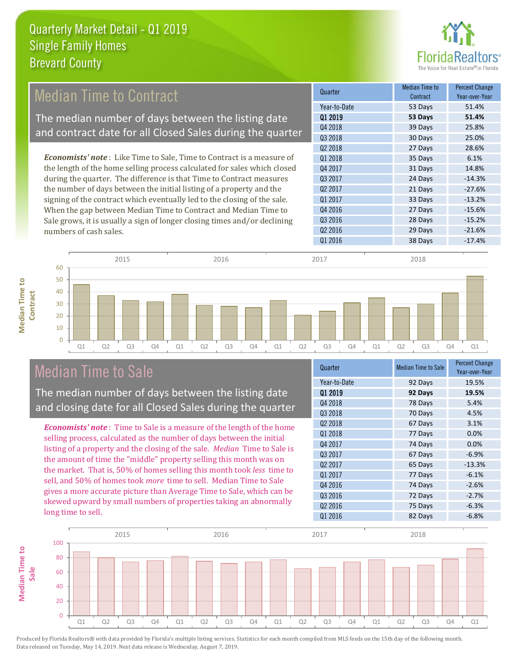

#### 30 Days 25.0% Q2 2018 27 Days 28.6% **Cuarter Median Time to** Contract Percent Change Q1 2019 **53 Days 51.4%** Year-to-Date 53 Days 51.4% Q4 2018 39 Days 25.8% Q3 2018 Q3 2017 24 Days -14.3% Q1 2018 35 Days 6.1% Q4 2017 31 Days 14.8% *Economists' note* : Like Time to Sale, Time to Contract is a measure of the length of the home selling process calculated for sales which closed during the quarter. The difference is that Time to Contract measures Median Time to Contract The median number of days between the listing date and contract date for all Closed Sales during the quarter

the number of days between the initial listing of a property and the signing of the contract which eventually led to the closing of the sale. When the gap between Median Time to Contract and Median Time to Sale grows, it is usually a sign of longer closing times and/or declining numbers of cash sales.

| wuurur              | Contract | Year-over-Year |
|---------------------|----------|----------------|
| Year-to-Date        | 53 Days  | 51.4%          |
| 01 2019             | 53 Days  | 51.4%          |
| Q4 2018             | 39 Days  | 25.8%          |
| 03 2018             | 30 Days  | 25.0%          |
| Q <sub>2</sub> 2018 | 27 Days  | 28.6%          |
| 01 2018             | 35 Days  | 6.1%           |
| 04 2017             | 31 Days  | 14.8%          |
| 03 2017             | 24 Days  | $-14.3%$       |
| 02 2017             | 21 Days  | $-27.6%$       |
| 01 2017             | 33 Days  | $-13.2%$       |
| Q4 2016             | 27 Days  | $-15.6%$       |
| Q3 2016             | 28 Days  | $-15.2%$       |
| Q <sub>2</sub> 2016 | 29 Days  | $-21.6%$       |
| Q1 2016             | 38 Days  | $-17.4%$       |
|                     |          |                |



### Median Time to Sale

**Median Time to Contract**

**Median Time to** 

The median number of days between the listing date and closing date for all Closed Sales during the quarter

*Economists' note* : Time to Sale is a measure of the length of the home selling process, calculated as the number of days between the initial listing of a property and the closing of the sale. *Median* Time to Sale is the amount of time the "middle" property selling this month was on the market. That is, 50% of homes selling this month took *less* time to sell, and 50% of homes took *more* time to sell. Median Time to Sale gives a more accurate picture than Average Time to Sale, which can be skewed upward by small numbers of properties taking an abnormally long time to sell.

| Quarter             | <b>Median Time to Sale</b> | <b>Percent Change</b><br>Year-over-Year |
|---------------------|----------------------------|-----------------------------------------|
| Year-to-Date        | 92 Days                    | 19.5%                                   |
| Q1 2019             | 92 Days                    | 19.5%                                   |
| Q4 2018             | 78 Days                    | 5.4%                                    |
| Q3 2018             | 70 Days                    | 4.5%                                    |
| Q <sub>2</sub> 2018 | 67 Days                    | 3.1%                                    |
| 01 2018             | 77 Days                    | 0.0%                                    |
| Q4 2017             | 74 Days                    | 0.0%                                    |
| 03 2017             | 67 Days                    | $-6.9%$                                 |
| Q <sub>2</sub> 2017 | 65 Days                    | $-13.3%$                                |
| Q1 2017             | 77 Days                    | $-6.1%$                                 |
| Q4 2016             | 74 Days                    | $-2.6%$                                 |
| Q3 2016             | 72 Days                    | $-2.7%$                                 |
| Q <sub>2</sub> 2016 | 75 Days                    | $-6.3%$                                 |
| Q1 2016             | 82 Days                    | $-6.8%$                                 |

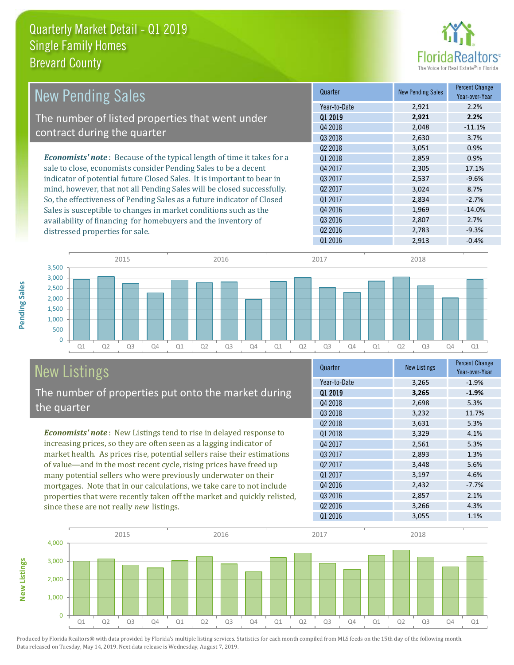

| <b>New Pending Sales</b>                                                      | Quarter             | <b>New Pending Sales</b> | <b>Percent Change</b><br>Year-over-Year |
|-------------------------------------------------------------------------------|---------------------|--------------------------|-----------------------------------------|
|                                                                               | Year-to-Date        | 2,921                    | 2.2%                                    |
| The number of listed properties that went under                               | 01 2019             | 2,921                    | 2.2%                                    |
|                                                                               | Q4 2018             | 2,048                    | $-11.1%$                                |
| contract during the quarter                                                   | Q3 2018             | 2,630                    | 3.7%                                    |
|                                                                               | Q <sub>2</sub> 2018 | 3,051                    | 0.9%                                    |
| <b>Economists' note:</b> Because of the typical length of time it takes for a | 01 2018             | 2,859                    | 0.9%                                    |
| sale to close, economists consider Pending Sales to be a decent               | Q4 2017             | 2,305                    | 17.1%                                   |
| indicator of potential future Closed Sales. It is important to bear in        | Q3 2017             | 2,537                    | $-9.6%$                                 |
| mind, however, that not all Pending Sales will be closed successfully.        | 02 2017             | 3,024                    | 8.7%                                    |
| So, the effectiveness of Pending Sales as a future indicator of Closed        | Q1 2017             | 2,834                    | $-2.7%$                                 |
| Sales is susceptible to changes in market conditions such as the              | Q4 2016             | 1,969                    | $-14.0\%$                               |
| availability of financing for homebuyers and the inventory of                 | 03 2016             | 2,807                    | 2.7%                                    |
| distressed properties for sale.                                               | Q <sub>2</sub> 2016 | 2,783                    | $-9.3%$                                 |
|                                                                               | Q1 2016             | 2,913                    | $-0.4%$                                 |



# New Listings

The number of properties put onto the market during the quarter

*Economists' note* : New Listings tend to rise in delayed response to increasing prices, so they are often seen as a lagging indicator of market health. As prices rise, potential sellers raise their estimations of value—and in the most recent cycle, rising prices have freed up many potential sellers who were previously underwater on their mortgages. Note that in our calculations, we take care to not include properties that were recently taken off the market and quickly relisted, since these are not really *new* listings.

| Quarter             | <b>New Listings</b> | <b>Percent Change</b><br>Year-over-Year |
|---------------------|---------------------|-----------------------------------------|
| Year-to-Date        | 3,265               | $-1.9%$                                 |
| 01 2019             | 3,265               | $-1.9%$                                 |
| Q4 2018             | 2,698               | 5.3%                                    |
| Q3 2018             | 3,232               | 11.7%                                   |
| 02 2018             | 3,631               | 5.3%                                    |
| Q1 2018             | 3,329               | 4.1%                                    |
| Q4 2017             | 2,561               | 5.3%                                    |
| Q3 2017             | 2,893               | 1.3%                                    |
| Q <sub>2</sub> 2017 | 3,448               | 5.6%                                    |
| Q1 2017             | 3,197               | 4.6%                                    |
| Q4 2016             | 2,432               | $-7.7%$                                 |
| Q3 2016             | 2,857               | 2.1%                                    |
| Q <sub>2</sub> 2016 | 3,266               | 4.3%                                    |
| 01 2016             | 3,055               | 1.1%                                    |



Produced by Florida Realtors® with data provided by Florida's multiple listing services. Statistics for each month compiled from MLS feeds on the 15th day of the following month.

Data released on Tuesday, May 14, 2019. Next data release is Wednesday, August 7, 2019.

**New Listings**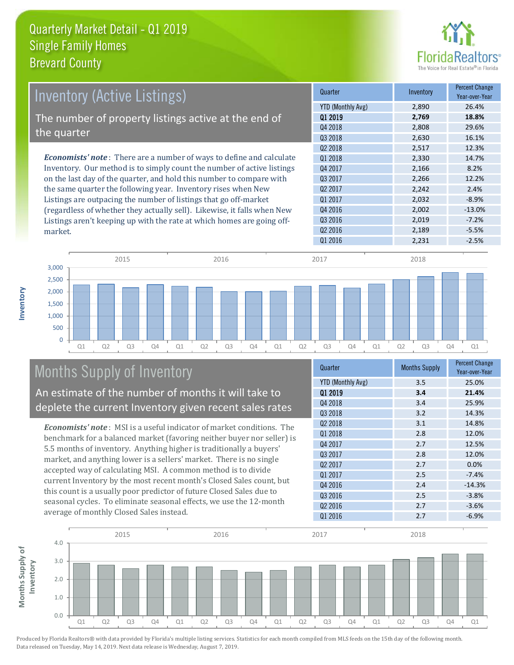

| Inventory (Active Listings)                                                  | Quarter             | Inventory | <b>Percent Change</b><br>Year-over-Year |
|------------------------------------------------------------------------------|---------------------|-----------|-----------------------------------------|
|                                                                              | YTD (Monthly Avg)   | 2,890     | 26.4%                                   |
| The number of property listings active at the end of                         | 01 2019             | 2,769     | 18.8%                                   |
|                                                                              | Q4 2018             | 2,808     | 29.6%                                   |
| the quarter                                                                  | Q3 2018             | 2,630     | 16.1%                                   |
|                                                                              | 02 2018             | 2,517     | 12.3%                                   |
| <b>Economists' note</b> : There are a number of ways to define and calculate | 01 2018             | 2,330     | 14.7%                                   |
| Inventory. Our method is to simply count the number of active listings       | Q4 2017             | 2,166     | 8.2%                                    |
| on the last day of the quarter, and hold this number to compare with         | Q3 2017             | 2,266     | 12.2%                                   |
| the same quarter the following year. Inventory rises when New                | Q <sub>2</sub> 2017 | 2,242     | 2.4%                                    |
| Listings are outpacing the number of listings that go off-market             | Q1 2017             | 2,032     | $-8.9%$                                 |
| (regardless of whether they actually sell). Likewise, it falls when New      | Q4 2016             | 2,002     | $-13.0%$                                |
| Listings aren't keeping up with the rate at which homes are going off-       | 03 2016             | 2.019     | $-7.2%$                                 |



## Months Supply of Inventory

An estimate of the number of months it will take to deplete the current Inventory given recent sales rates

*Economists' note* : MSI is a useful indicator of market conditions. The benchmark for a balanced market (favoring neither buyer nor seller) is 5.5 months of inventory. Anything higher is traditionally a buyers' market, and anything lower is a sellers' market. There is no single accepted way of calculating MSI. A common method is to divide current Inventory by the most recent month's Closed Sales count, but this count is a usually poor predictor of future Closed Sales due to seasonal cycles. To eliminate seasonal effects, we use the 12-month average of monthly Closed Sales instead.

| Quarter                  | <b>Months Supply</b> | <b>Percent Change</b><br>Year-over-Year |
|--------------------------|----------------------|-----------------------------------------|
| <b>YTD (Monthly Avg)</b> | 3.5                  | 25.0%                                   |
| 01 2019                  | 3.4                  | 21.4%                                   |
| Q4 2018                  | 3.4                  | 25.9%                                   |
| Q3 2018                  | 3.2                  | 14.3%                                   |
| Q <sub>2</sub> 2018      | 3.1                  | 14.8%                                   |
| 01 2018                  | 2.8                  | 12.0%                                   |
| Q4 2017                  | 2.7                  | 12.5%                                   |
| 03 2017                  | 2.8                  | 12.0%                                   |
| Q <sub>2</sub> 2017      | 2.7                  | 0.0%                                    |
| Q1 2017                  | 2.5                  | $-7.4%$                                 |
| Q4 2016                  | 2.4                  | $-14.3%$                                |
| Q3 2016                  | 2.5                  | $-3.8%$                                 |
| Q <sub>2</sub> 2016      | 2.7                  | $-3.6%$                                 |
| Q1 2016                  | 2.7                  | $-6.9%$                                 |

 $Q2\,2016$  2,189 -5.5%



Produced by Florida Realtors® with data provided by Florida's multiple listing services. Statistics for each month compiled from MLS feeds on the 15th day of the following month. Data released on Tuesday, May 14, 2019. Next data release is Wednesday, August 7, 2019.

market.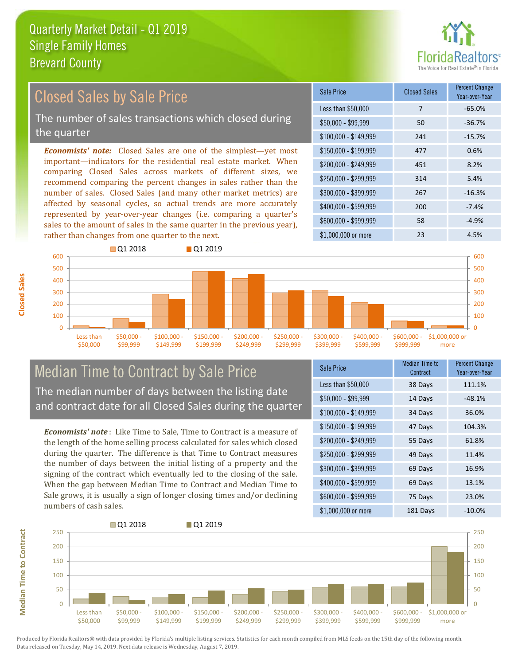

#### *Economists' note:* Closed Sales are one of the simplest—yet most important—indicators for the residential real estate market. When comparing Closed Sales across markets of different sizes, we recommend comparing the percent changes in sales rather than the number of sales. Closed Sales (and many other market metrics) are affected by seasonal cycles, so actual trends are more accurately represented by year-over-year changes (i.e. comparing a quarter's sales to the amount of sales in the same quarter in the previous year), rather than changes from one quarter to the next. \$1,000,000 or more 23 4.5% \$250,000 - \$299,999 314 5.4% \$300,000 - \$399,999 267 -16.3% \$400,000 - \$599,999 200 -7.4% \$600,000 - \$999,999 58 -4.9% \$150,000 - \$199,999 477 0.6% \$200,000 - \$249,999 451 8.2%  $$100,000 - $149,999$  241 -15.7% Sale Price Closed Sales Percent Change Year-over-Year Less than \$50,000 7 7 -65.0%  $$50,000 - $99,999$  50  $-36.7\%$ Closed Sales by Sale Price The number of sales transactions which closed during the quarter



### Median Time to Contract by Sale Price The median number of days between the listing date and contract date for all Closed Sales during the quarter

*Economists' note* : Like Time to Sale, Time to Contract is a measure of the length of the home selling process calculated for sales which closed during the quarter. The difference is that Time to Contract measures the number of days between the initial listing of a property and the signing of the contract which eventually led to the closing of the sale. When the gap between Median Time to Contract and Median Time to Sale grows, it is usually a sign of longer closing times and/or declining numbers of cash sales.

| <b>Sale Price</b>     | Median Time to<br>Contract | <b>Percent Change</b><br>Year-over-Year |
|-----------------------|----------------------------|-----------------------------------------|
| Less than \$50,000    | 38 Days                    | 111.1%                                  |
| $$50,000 - $99,999$   | 14 Days                    | $-48.1%$                                |
| $$100,000 - $149,999$ | 34 Days                    | 36.0%                                   |
| $$150,000 - $199,999$ | 47 Days                    | 104.3%                                  |
| \$200,000 - \$249,999 | 55 Days                    | 61.8%                                   |
| \$250,000 - \$299,999 | 49 Days                    | 11.4%                                   |
| \$300,000 - \$399,999 | 69 Days                    | 16.9%                                   |
| \$400,000 - \$599,999 | 69 Days                    | 13.1%                                   |
| \$600,000 - \$999,999 | 75 Days                    | 23.0%                                   |
| \$1,000,000 or more   | 181 Days                   | $-10.0\%$                               |



Produced by Florida Realtors® with data provided by Florida's multiple listing services. Statistics for each month compiled from MLS feeds on the 15th day of the following month. Data released on Tuesday, May 14, 2019. Next data release is Wednesday, August 7, 2019.

**Median Time to Contract**

**Median Time to Contract**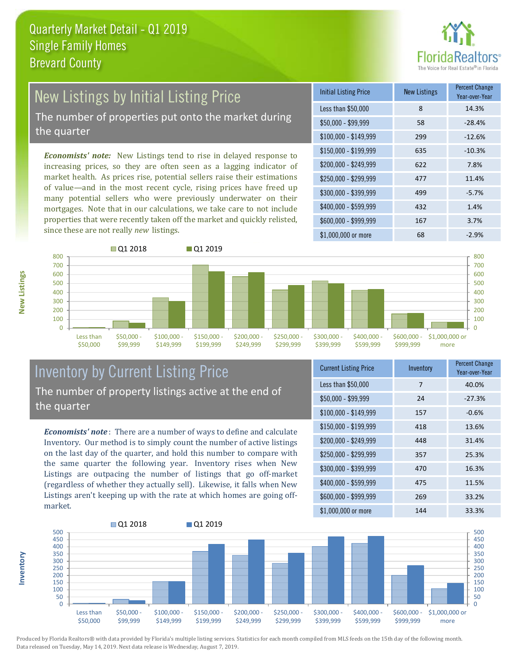

# New Listings by Initial Listing Price

The number of properties put onto the market during the quarter

*Economists' note:* New Listings tend to rise in delayed response to increasing prices, so they are often seen as a lagging indicator of market health. As prices rise, potential sellers raise their estimations of value—and in the most recent cycle, rising prices have freed up many potential sellers who were previously underwater on their mortgages. Note that in our calculations, we take care to not include properties that were recently taken off the market and quickly relisted, since these are not really *new* listings.

| <b>Initial Listing Price</b> | <b>New Listings</b> | <b>Percent Change</b><br>Year-over-Year |
|------------------------------|---------------------|-----------------------------------------|
| Less than \$50,000           | 8                   | 14.3%                                   |
| $$50,000 - $99,999$          | 58                  | $-28.4%$                                |
| $$100,000 - $149,999$        | 299                 | $-12.6%$                                |
| $$150,000 - $199,999$        | 635                 | $-10.3%$                                |
| \$200,000 - \$249,999        | 622                 | 7.8%                                    |
| \$250,000 - \$299,999        | 477                 | 11.4%                                   |
| \$300,000 - \$399,999        | 499                 | $-5.7%$                                 |
| \$400,000 - \$599,999        | 432                 | 1.4%                                    |
| \$600,000 - \$999,999        | 167                 | 3.7%                                    |
| \$1,000,000 or more          | 68                  | $-2.9%$                                 |



### Inventory by Current Listing Price The number of property listings active at the end of the quarter

*Economists' note* : There are a number of ways to define and calculate Inventory. Our method is to simply count the number of active listings on the last day of the quarter, and hold this number to compare with the same quarter the following year. Inventory rises when New Listings are outpacing the number of listings that go off-market (regardless of whether they actually sell). Likewise, it falls when New Listings aren't keeping up with the rate at which homes are going offmarket.

| <b>Current Listing Price</b> | Inventory | Percent Change<br>Year-over-Year |
|------------------------------|-----------|----------------------------------|
| Less than \$50,000           | 7         | 40.0%                            |
| \$50,000 - \$99,999          | 24        | $-27.3%$                         |
| $$100,000 - $149,999$        | 157       | $-0.6%$                          |
| $$150,000 - $199,999$        | 418       | 13.6%                            |
| \$200,000 - \$249,999        | 448       | 31.4%                            |
| \$250,000 - \$299,999        | 357       | 25.3%                            |
| \$300,000 - \$399,999        | 470       | 16.3%                            |
| \$400,000 - \$599,999        | 475       | 11.5%                            |
| \$600,000 - \$999,999        | 269       | 33.2%                            |
| \$1,000,000 or more          | 144       | 33.3%                            |



Produced by Florida Realtors® with data provided by Florida's multiple listing services. Statistics for each month compiled from MLS feeds on the 15th day of the following month. Data released on Tuesday, May 14, 2019. Next data release is Wednesday, August 7, 2019.

**Inventory**